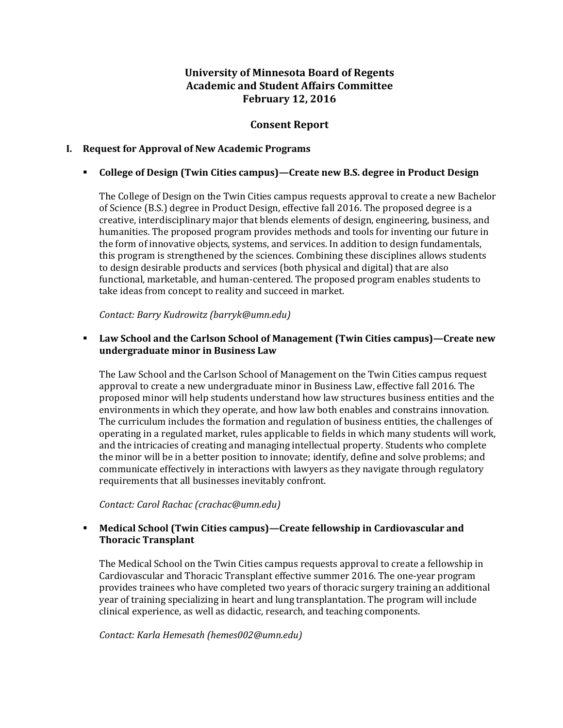# **University of Minnesota Board of Regents Academic and Student Affairs Committee February 12, 2016**

# **Consent Report**

## **I. Request for Approval of New Academic Programs**

## **College of Design (Twin Cities campus)ȄCreate new B.S. degree in Product Design**

The College of Design on the Twin Cities campus requests approval to create a new Bachelor of Science (B.S.) degree in Product Design, effective fall 2016. The proposed degree is a creative, interdisciplinary major that blends elements of design, engineering, business, and humanities. The proposed program provides methods and tools for inventing our future in the form of innovative objects, systems, and services. In addition to design fundamentals, this program is strengthened by the sciences. Combining these disciplines allows students to design desirable products and services (both physical and digital) that are also functional, marketable, and human-centered. The proposed program enables students to take ideas from concept to reality and succeed in market.

*Contact: Barry Kudrowitz (barryk@umn.edu)*

## **Law School and the Carlson School of Management (Twin Cities campus)—Create new undergraduate minor in Business Law**

The Law School and the Carlson School of Management on the Twin Cities campus request approval to create a new undergraduate minor in Business Law, effective fall 2016. The proposed minor will help students understand how law structures business entities and the environments in which they operate, and how law both enables and constrains innovation. The curriculum includes the formation and regulation of business entities, the challenges of operating in a regulated market, rules applicable to fields in which many students will work, and the intricacies of creating and managing intellectual property. Students who complete the minor will be in a better position to innovate; identify, define and solve problems; and communicate effectively in interactions with lawyers as they navigate through regulatory requirements that all businesses inevitably confront.

*Contact: Carol Rachac (crachac@umn.edu)*

# **EXECT** Medical School (Twin Cities campus)—Create fellowship in Cardiovascular and **Thoracic Transplant**

The Medical School on the Twin Cities campus requests approval to create a fellowship in Cardiovascular and Thoracic Transplant effective summer 2016. The one-year program provides trainees who have completed two years of thoracic surgery training an additional year of training specializing in heart and lung transplantation. The program will include clinical experience, as well as didactic, research, and teaching components.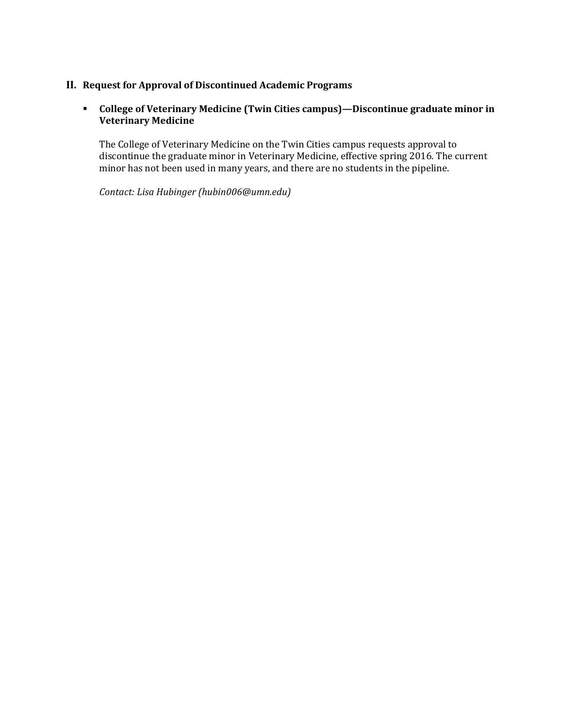# **II. Request for Approval of Discontinued Academic Programs**

# **•** College of Veterinary Medicine (Twin Cities campus)—Discontinue graduate minor in **Veterinary Medicine**

The College of Veterinary Medicine on the Twin Cities campus requests approval to discontinue the graduate minor in Veterinary Medicine, effective spring 2016. The current minor has not been used in many years, and there are no students in the pipeline.

*Contact: Lisa Hubinger (hubin006@umn.edu)*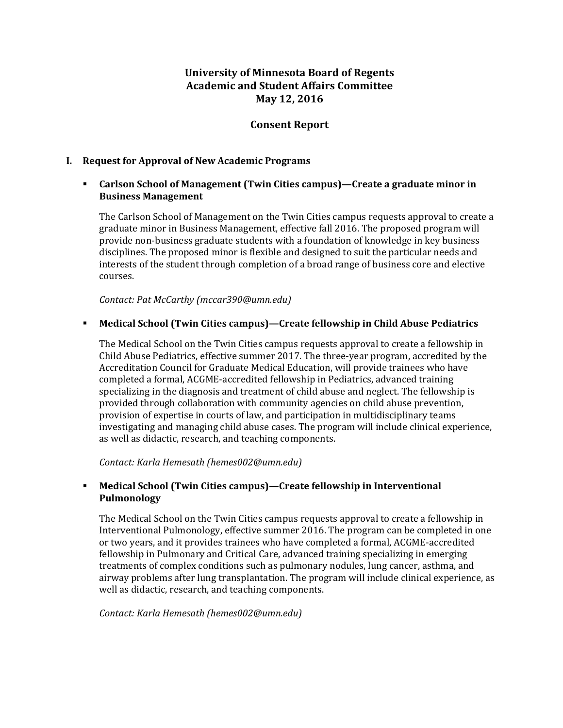# **University of Minnesota Board of Regents Academic and Student Affairs Committee May 12, 2016**

# **Consent Report**

### **I. Request for Approval of New Academic Programs**

## **Carlson School of Management (Twin Cities campus)—Create a graduate minor in Business Management**

The Carlson School of Management on the Twin Cities campus requests approval to create a graduate minor in Business Management, effective fall 2016. The proposed program will provide non-business graduate students with a foundation of knowledge in key business disciplines. The proposed minor is flexible and designed to suit the particular needs and interests of the student through completion of a broad range of business core and elective courses.

*Contact: Pat McCarthy (mccar390@umn.edu)*

## **Medical School (Twin Cities campus)—Create fellowship in Child Abuse Pediatrics**

The Medical School on the Twin Cities campus requests approval to create a fellowship in Child Abuse Pediatrics, effective summer 2017. The three-year program, accredited by the Accreditation Council for Graduate Medical Education, will provide trainees who have completed a formal, ACGME-accredited fellowship in Pediatrics, advanced training specializing in the diagnosis and treatment of child abuse and neglect. The fellowship is provided through collaboration with community agencies on child abuse prevention, provision of expertise in courts of law, and participation in multidisciplinary teams investigating and managing child abuse cases. The program will include clinical experience, as well as didactic, research, and teaching components.

*Contact: Karla Hemesath (hemes002@umn.edu)*

## **Medical School (Twin Cities campus)—Create fellowship in Interventional Pulmonology**

The Medical School on the Twin Cities campus requests approval to create a fellowship in Interventional Pulmonology, effective summer 2016. The program can be completed in one or two years, and it provides trainees who have completed a formal, ACGME-accredited fellowship in Pulmonary and Critical Care, advanced training specializing in emerging treatments of complex conditions such as pulmonary nodules, lung cancer, asthma, and airway problems after lung transplantation. The program will include clinical experience, as well as didactic, research, and teaching components.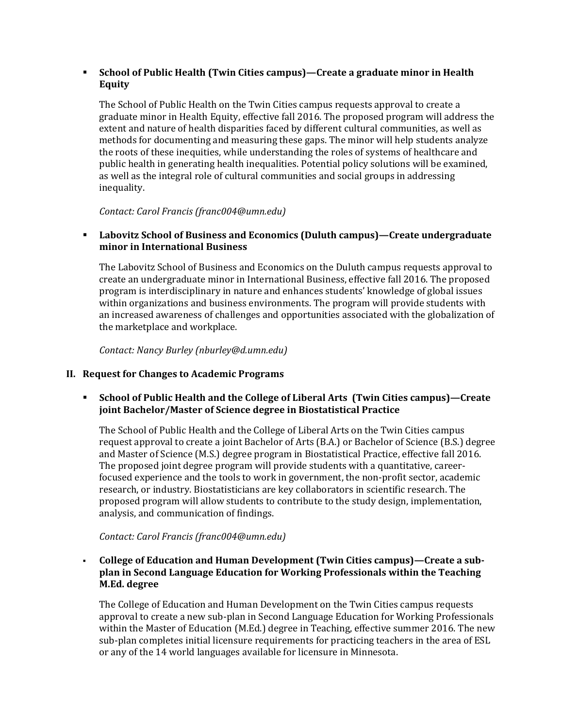# **School of Public Health (Twin Cities campus)—Create a graduate minor in Health Equity**

The School of Public Health on the Twin Cities campus requests approval to create a graduate minor in Health Equity, effective fall 2016. The proposed program will address the extent and nature of health disparities faced by different cultural communities, as well as methods for documenting and measuring these gaps. The minor will help students analyze the roots of these inequities, while understanding the roles of systems of healthcare and public health in generating health inequalities. Potential policy solutions will be examined, as well as the integral role of cultural communities and social groups in addressing inequality.

*Contact: Carol Francis (franc004@umn.edu)*

# **Labovitz School of Business and Economics (Duluth campus)—Create undergraduate minor in International Business**

The Labovitz School of Business and Economics on the Duluth campus requests approval to create an undergraduate minor in International Business, effective fall 2016. The proposed program is interdisciplinary in nature and enhances students' knowledge of global issues within organizations and business environments. The program will provide students with an increased awareness of challenges and opportunities associated with the globalization of the marketplace and workplace.

*Contact: Nancy Burley (nburley@d.umn.edu)*

# **II. Request for Changes to Academic Programs**

 **School of Public Health and the College of Liberal Arts(Twin Cities campus)—Create joint Bachelor/Master of Science degree in Biostatistical Practice**

The School of Public Health and the College of Liberal Arts on the Twin Cities campus request approval to create a joint Bachelor of Arts (B.A.) or Bachelor of Science (B.S.) degree and Master of Science (M.S.) degree program in Biostatistical Practice, effective fall 2016. The proposed joint degree program will provide students with a quantitative, careerfocused experience and the tools to work in government, the non-profit sector, academic research, or industry. Biostatisticians are key collaborators in scientific research. The proposed program will allow students to contribute to the study design, implementation, analysis, and communication of findings.

# *Contact: Carol Francis (franc004@umn.edu)*

 **College of Education and Human Development (Twin Cities campus)—Create a subǦ plan in Second Language Education for Working Professionals within the Teaching M.Ed. degree**

The College of Education and Human Development on the Twin Cities campus requests approval to create a new sub-plan in Second Language Education for Working Professionals within the Master of Education (M.Ed.) degree in Teaching, effective summer 2016. The new sub-plan completes initial licensure requirements for practicing teachers in the area of ESL or any of the 14 world languages available for licensure in Minnesota.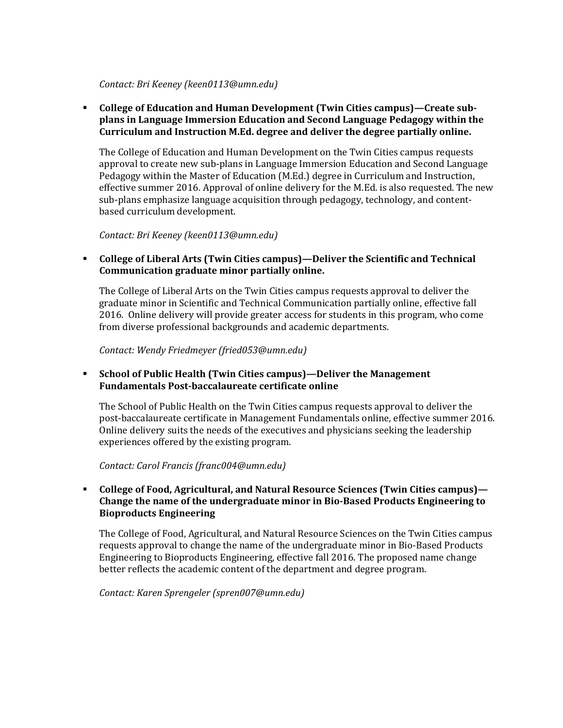#### *Contact: Bri Keeney (keen0113@umn.edu)*

 **College of Education and Human Development (Twin Cities campus)—Create subǦ plans in Language Immersion Education and Second Language Pedagogy within the Curriculum and Instruction M.Ed. degree and deliver the degree partially online.**

The College of Education and Human Development on the Twin Cities campus requests approval to create new sub-plans in Language Immersion Education and Second Language Pedagogy within the Master of Education (M.Ed.) degree in Curriculum and Instruction, effective summer 2016. Approval of online delivery for the M.Ed. is also requested. The new sub-plans emphasize language acquisition through pedagogy, technology, and contentbased curriculum development.

*Contact: Bri Keeney (keen0113@umn.edu)*

## **College of Liberal Arts (Twin Cities campus)—Deliver the Scientific and Technical Communication graduate minor partially online.**

The College of Liberal Arts on the Twin Cities campus requests approval to deliver the graduate minor in Scientific and Technical Communication partially online, effective fall 2016. Online delivery will provide greater access for students in this program, who come from diverse professional backgrounds and academic departments.

*Contact: Wendy Friedmeyer (fried053@umn.edu)*

# **School of Public Health (Twin Cities campus)—Deliver the Management Fundamentals PostǦbaccalaureate certificate online**

The School of Public Health on the Twin Cities campus requests approval to deliver the post-baccalaureate certificate in Management Fundamentals online, effective summer 2016. Online delivery suits the needs of the executives and physicians seeking the leadership experiences offered by the existing program.

### *Contact: Carol Francis (franc004@umn.edu)*

### **College of Food, Agricultural, and Natural Resource Sciences (Twin Cities campus)— Change the name of the undergraduate minor in BioǦBased Products Engineering to Bioproducts Engineering**

The College of Food, Agricultural, and Natural Resource Sciences on the Twin Cities campus requests approval to change the name of the undergraduate minor in Bio-Based Products Engineering to Bioproducts Engineering, effective fall 2016. The proposed name change better reflects the academic content of the department and degree program.

*Contact: Karen Sprengeler (spren007@umn.edu)*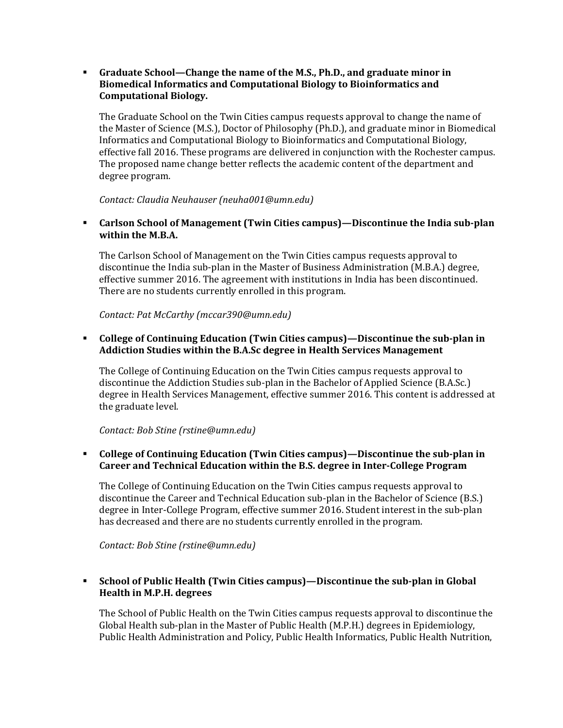### **Graduate School—Change the name of the M.S., Ph.D., and graduate minor in Biomedical Informatics and Computational Biology to Bioinformatics and Computational Biology.**

The Graduate School on the Twin Cities campus requests approval to change the name of the Master of Science (M.S.), Doctor of Philosophy (Ph.D.), and graduate minor in Biomedical Informatics and Computational Biology to Bioinformatics and Computational Biology, effective fall 2016. These programs are delivered in conjunction with the Rochester campus. The proposed name change better reflects the academic content of the department and degree program.

*Contact: Claudia Neuhauser (neuha001@umn.edu)*

 **Carlson School of Management (Twin Cities campus)—Discontinue the India subǦplan within the M.B.A.**

The Carlson School of Management on the Twin Cities campus requests approval to discontinue the India sub-plan in the Master of Business Administration (M.B.A.) degree, effective summer 2016. The agreement with institutions in India has been discontinued. There are no students currently enrolled in this program.

*Contact: Pat McCarthy (mccar390@umn.edu)*

## **College of Continuing Education (Twin Cities campus)—Discontinue the subǦplan in Addiction Studies within the B.A.Sc degree in Health Services Management**

The College of Continuing Education on the Twin Cities campus requests approval to discontinue the Addiction Studies sub-plan in the Bachelor of Applied Science (B.A.Sc.) degree in Health Services Management, effective summer 2016. This content is addressed at the graduate level.

### *Contact: Bob Stine (rstine@umn.edu)*

## **College of Continuing Education (Twin Cities campus)—Discontinue the subǦplan in Career and Technical Education within the B.S. degree in InterǦCollege Program**

The College of Continuing Education on the Twin Cities campus requests approval to discontinue the Career and Technical Education sub-plan in the Bachelor of Science (B.S.) degree in Inter-College Program, effective summer 2016. Student interest in the sub-plan has decreased and there are no students currently enrolled in the program.

*Contact: Bob Stine (rstine@umn.edu)*

# **School of Public Health (Twin Cities campus)—Discontinue the subǦplan in Global Health in M.P.H. degrees**

The School of Public Health on the Twin Cities campus requests approval to discontinue the Global Health sub-plan in the Master of Public Health (M.P.H.) degrees in Epidemiology, Public Health Administration and Policy, Public Health Informatics, Public Health Nutrition,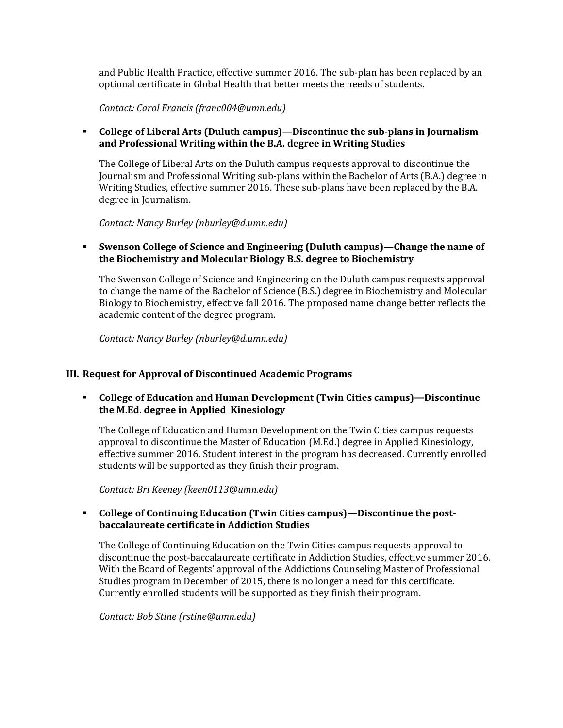and Public Health Practice, effective summer 2016. The sub-plan has been replaced by an optional certificate in Global Health that better meets the needs of students.

*Contact: Carol Francis (franc004@umn.edu)*

## **College of Liberal Arts (Duluth campus)—Discontinue the subǦplans in Journalism and Professional Writing within the B.A. degree in Writing Studies**

The College of Liberal Arts on the Duluth campus requests approval to discontinue the Journalism and Professional Writing sub-plans within the Bachelor of Arts (B.A.) degree in Writing Studies, effective summer 2016. These sub-plans have been replaced by the B.A. degree in Journalism.

*Contact: Nancy Burley (nburley@d.umn.edu)*

### **Swenson College of Science and Engineering (Duluth campus)—Change the name of the Biochemistry and Molecular Biology B.S. degree to Biochemistry**

The Swenson College of Science and Engineering on the Duluth campus requests approval to change the name of the Bachelor of Science (B.S.) degree in Biochemistry and Molecular Biology to Biochemistry, effective fall 2016. The proposed name change better reflects the academic content of the degree program.

*Contact: Nancy Burley (nburley@d.umn.edu)*

### **III. Request for Approval of Discontinued Academic Programs**

 **College of Education and Human Development (Twin Cities campus)—Discontinue the M.Ed. degree in AppliedKinesiology**

The College of Education and Human Development on the Twin Cities campus requests approval to discontinue the Master of Education (M.Ed.) degree in Applied Kinesiology, effective summer 2016. Student interest in the program has decreased. Currently enrolled students will be supported as they finish their program.

*Contact: Bri Keeney (keen0113@umn.edu)*

### **College of Continuing Education (Twin Cities campus)—Discontinue the postǦ baccalaureate certificate in Addiction Studies**

The College of Continuing Education on the Twin Cities campus requests approval to discontinue the post-baccalaureate certificate in Addiction Studies, effective summer 2016. With the Board of Regents' approval of the Addictions Counseling Master of Professional Studies program in December of 2015, there is no longer a need for this certificate. Currently enrolled students will be supported as they finish their program.

*Contact: Bob Stine (rstine@umn.edu)*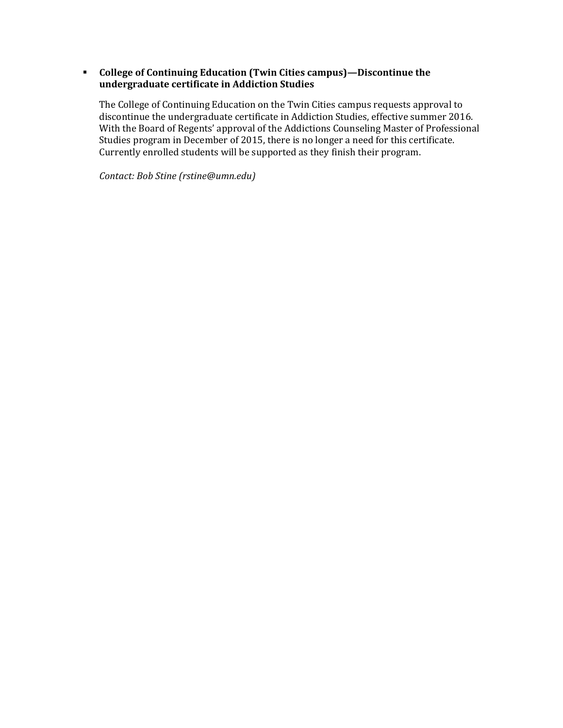## **College of Continuing Education (Twin Cities campus)—Discontinue the undergraduate certificate in Addiction Studies**

The College of Continuing Education on the Twin Cities campus requests approval to discontinue the undergraduate certificate in Addiction Studies, effective summer 2016. With the Board of Regents' approval of the Addictions Counseling Master of Professional Studies program in December of 2015, there is no longer a need for this certificate. Currently enrolled students will be supported as they finish their program.

*Contact: Bob Stine (rstine@umn.edu)*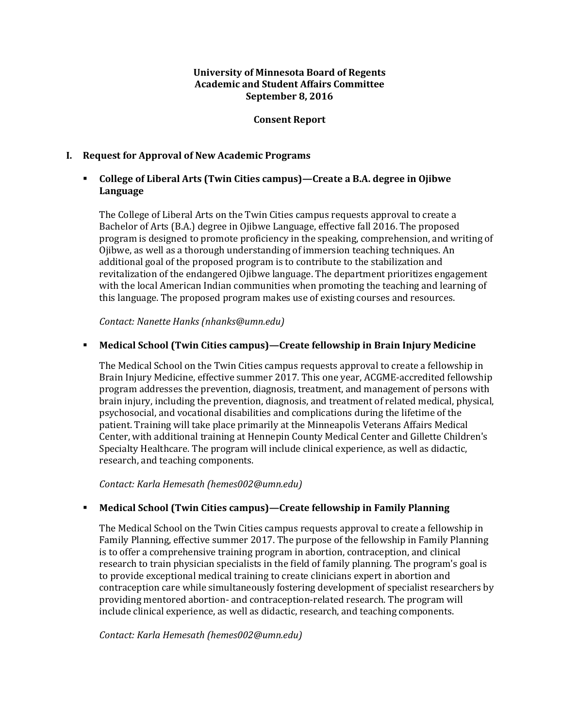### **University of Minnesota Board of Regents Academic and Student Affairs Committee September 8, 2016**

### **Consent Report**

## **I. Request for Approval of New Academic Programs**

# **College of Liberal Arts (Twin Cities campus)ȄCreate a B.A. degree in Ojibwe Language**

The College of Liberal Arts on the Twin Cities campus requests approval to create a Bachelor of Arts (B.A.) degree in Ojibwe Language, effective fall 2016. The proposed program is designed to promote proficiency in the speaking, comprehension, and writing of Ojibwe, as well as a thorough understanding of immersion teaching techniques. An additional goal of the proposed program is to contribute to the stabilization and revitalization of the endangered Ojibwe language. The department prioritizes engagement with the local American Indian communities when promoting the teaching and learning of this language. The proposed program makes use of existing courses and resources.

*Contact: Nanette Hanks (nhanks@umn.edu)*

## **Kemical School (Twin Cities campus)—Create fellowship in Brain Injury Medicine**

The Medical School on the Twin Cities campus requests approval to create a fellowship in Brain Injury Medicine, effective summer 2017. This one year, ACGME-accredited fellowship program addresses the prevention, diagnosis, treatment, and management of persons with brain injury, including the prevention, diagnosis, and treatment of related medical, physical, psychosocial, and vocational disabilities and complications during the lifetime of the patient. Training will take place primarily at the Minneapolis Veterans Affairs Medical Center, with additional training at Hennepin County Medical Center and Gillette Children's Specialty Healthcare. The program will include clinical experience, as well as didactic, research, and teaching components.

*Contact: Karla Hemesath (hemes002@umn.edu)*

### **EXED Medical School (Twin Cities campus)—Create fellowship in Family Planning**

The Medical School on the Twin Cities campus requests approval to create a fellowship in Family Planning, effective summer 2017. The purpose of the fellowship in Family Planning is to offer a comprehensive training program in abortion, contraception, and clinical research to train physician specialists in the field of family planning. The program's goal is to provide exceptional medical training to create clinicians expert in abortion and contraception care while simultaneously fostering development of specialist researchers by providing mentored abortion- and contraception-related research. The program will include clinical experience, as well as didactic, research, and teaching components.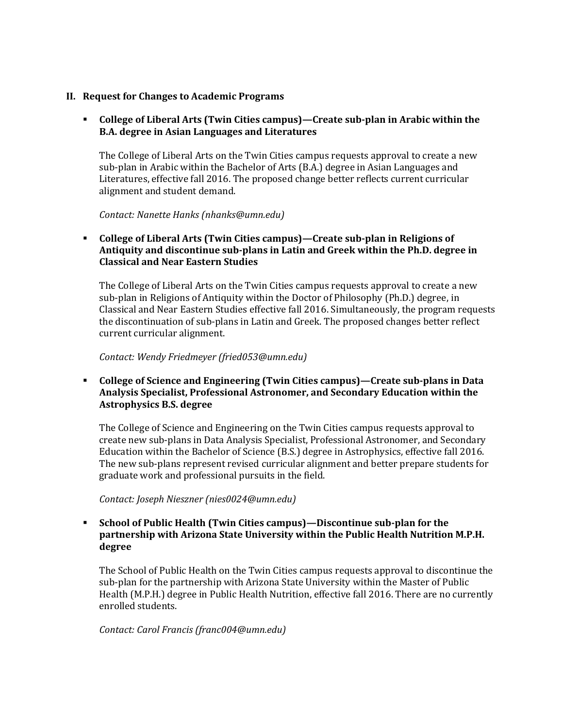### **II. Request for Changes to Academic Programs**

# **College of Liberal Arts (Twin Cities campus)—Create sub-plan in Arabic within the B.A. degree in Asian Languages and Literatures**

The College of Liberal Arts on the Twin Cities campus requests approval to create a new sub-plan in Arabic within the Bachelor of Arts (B.A.) degree in Asian Languages and Literatures, effective fall 2016. The proposed change better reflects current curricular alignment and student demand.

*Contact: Nanette Hanks (nhanks@umn.edu)*

# **College of Liberal Arts (Twin Cities campus)ȄCreate sub-plan in Religions of Antiquity and discontinue sub-plans in Latin and Greek within the Ph.D. degree in Classical and Near Eastern Studies**

The College of Liberal Arts on the Twin Cities campus requests approval to create a new sub-plan in Religions of Antiquity within the Doctor of Philosophy (Ph.D.) degree, in Classical and Near Eastern Studies effective fall 2016. Simultaneously, the program requests the discontinuation of sub-plans in Latin and Greek. The proposed changes better reflect current curricular alignment.

#### *Contact: Wendy Friedmeyer (fried053@umn.edu)*

## **College of Science and Engineering (Twin Cities campus)ȄCreate sub-plans in Data Analysis Specialist, Professional Astronomer, and Secondary Education within the Astrophysics B.S. degree**

The College of Science and Engineering on the Twin Cities campus requests approval to create new sub-plans in Data Analysis Specialist, Professional Astronomer, and Secondary Education within the Bachelor of Science (B.S.) degree in Astrophysics, effective fall 2016. The new sub-plans represent revised curricular alignment and better prepare students for graduate work and professional pursuits in the field.

*Contact: Joseph Nieszner (nies0024@umn.edu)*

## **School of Public Health (Twin Cities campus)ȄDiscontinue sub-plan for the partnership with Arizona State University within the Public Health Nutrition M.P.H. degree**

The School of Public Health on the Twin Cities campus requests approval to discontinue the sub-plan for the partnership with Arizona State University within the Master of Public Health (M.P.H.) degree in Public Health Nutrition, effective fall 2016. There are no currently enrolled students.

*Contact: Carol Francis (franc004@umn.edu)*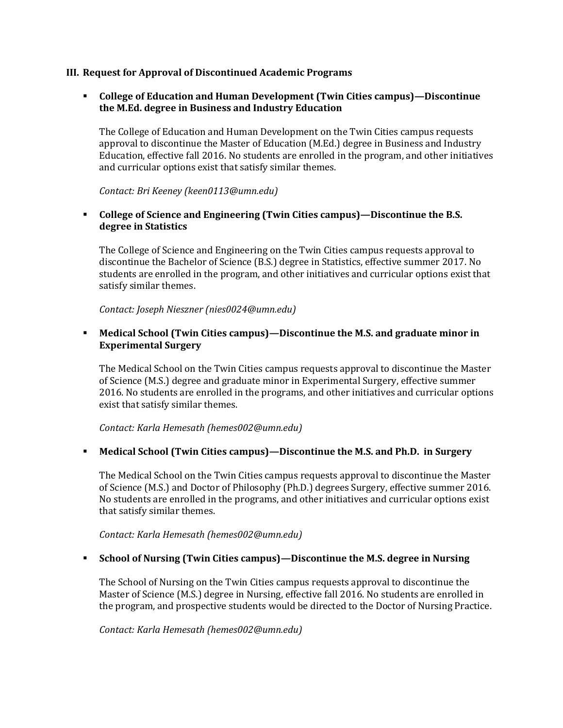### **III. Request for Approval of Discontinued Academic Programs**

## **College of Education and Human Development (Twin Cities campus)—Discontinue the M.Ed. degree in Business and Industry Education**

The College of Education and Human Development on the Twin Cities campus requests approval to discontinue the Master of Education (M.Ed.) degree in Business and Industry Education, effective fall 2016. No students are enrolled in the program, and other initiatives and curricular options exist that satisfy similar themes.

*Contact: Bri Keeney (keen0113@umn.edu)*

## **College of Science and Engineering (Twin Cities campus)ȄDiscontinue the B.S. degree in Statistics**

The College of Science and Engineering on the Twin Cities campus requests approval to discontinue the Bachelor of Science (B.S.) degree in Statistics, effective summer 2017. No students are enrolled in the program, and other initiatives and curricular options exist that satisfy similar themes.

*Contact: Joseph Nieszner (nies0024@umn.edu)*

## **Medical School (Twin Cities campus)—Discontinue the M.S. and graduate minor in Experimental Surgery**

The Medical School on the Twin Cities campus requests approval to discontinue the Master of Science (M.S.) degree and graduate minor in Experimental Surgery, effective summer 2016. No students are enrolled in the programs, and other initiatives and curricular options exist that satisfy similar themes.

*Contact: Karla Hemesath (hemes002@umn.edu)*

### **Kemical School (Twin Cities campus)—Discontinue the M.S. and Ph.D. in Surgery**

The Medical School on the Twin Cities campus requests approval to discontinue the Master of Science (M.S.) and Doctor of Philosophy (Ph.D.) degrees Surgery, effective summer 2016. No students are enrolled in the programs, and other initiatives and curricular options exist that satisfy similar themes.

*Contact: Karla Hemesath (hemes002@umn.edu)*

### **Example 1 School of Nursing (Twin Cities campus)—Discontinue the M.S. degree in Nursing**

The School of Nursing on the Twin Cities campus requests approval to discontinue the Master of Science (M.S.) degree in Nursing, effective fall 2016. No students are enrolled in the program, and prospective students would be directed to the Doctor of Nursing Practice.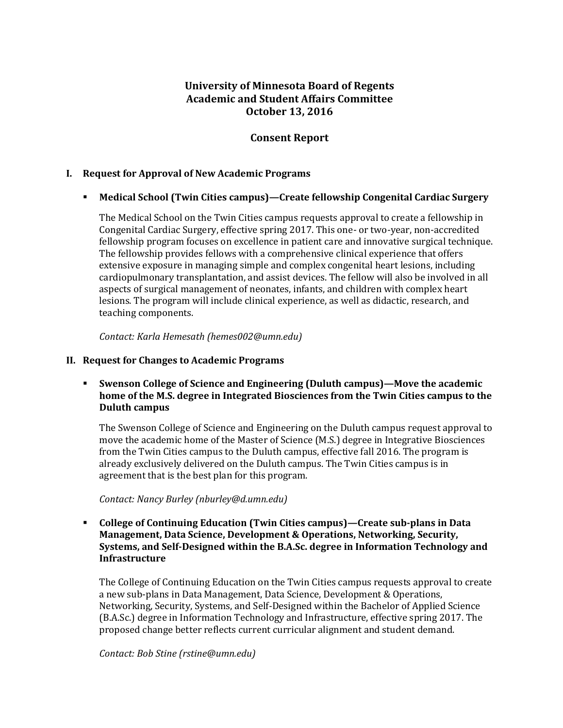# **University of Minnesota Board of Regents Academic and Student Affairs Committee October 13, 2016**

# **Consent Report**

## **I. Request for Approval of New Academic Programs**

## **Nedical School (Twin Cities campus)—Create fellowship Congenital Cardiac Surgery**

The Medical School on the Twin Cities campus requests approval to create a fellowship in Congenital Cardiac Surgery, effective spring 2017. This one- or two-year, non-accredited fellowship program focuses on excellence in patient care and innovative surgical technique. The fellowship provides fellows with a comprehensive clinical experience that offers extensive exposure in managing simple and complex congenital heart lesions, including cardiopulmonary transplantation, and assist devices. The fellow will also be involved in all aspects of surgical management of neonates, infants, and children with complex heart lesions. The program will include clinical experience, as well as didactic, research, and teaching components.

*Contact: Karla Hemesath (hemes002@umn.edu)*

## **II. Request for Changes to Academic Programs**

# **Swenson College of Science and Engineering (Duluth campus)—Move the academic <b>Numerical home of the M.S. degree in Integrated Biosciences from the Twin Cities campus to the Duluth campus**

The Swenson College of Science and Engineering on the Duluth campus request approval to move the academic home of the Master of Science (M.S.) degree in Integrative Biosciences from the Twin Cities campus to the Duluth campus, effective fall 2016. The program is already exclusively delivered on the Duluth campus. The Twin Cities campus is in agreement that is the best plan for this program.

*Contact: Nancy Burley (nburley@d.umn.edu)*

## **College of Continuing Education (Twin Cities campus)ȄCreate sub-plans in Data Management, Data Science, Development & Operations, Networking, Security, Systems, and Self-Designed within the B.A.Sc. degree in Information Technology and Infrastructure**

The College of Continuing Education on the Twin Cities campus requests approval to create a new sub-plans in Data Management, Data Science, Development & Operations, Networking, Security, Systems, and Self-Designed within the Bachelor of Applied Science (B.A.Sc.) degree in Information Technology and Infrastructure, effective spring 2017. The proposed change better reflects current curricular alignment and student demand.

*Contact: Bob Stine (rstine@umn.edu)*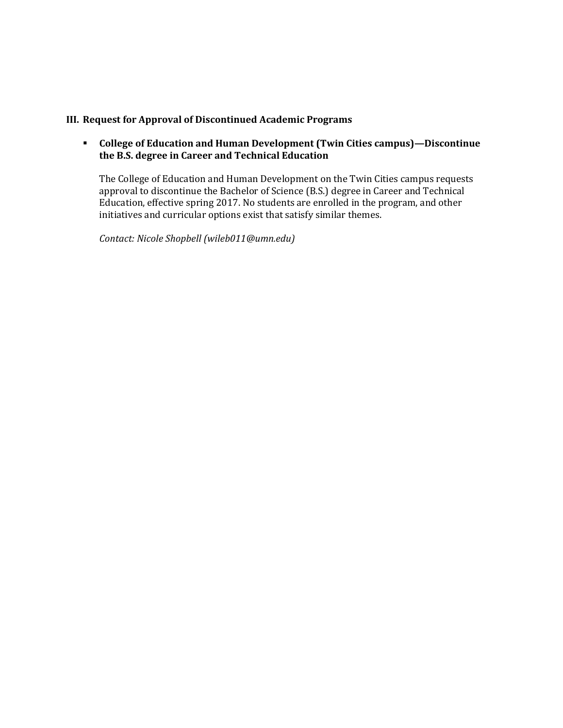# **III. Request for Approval of Discontinued Academic Programs**

## **F** College of Education and Human Development (Twin Cities campus)—Discontinue **the B.S. degree in Career and Technical Education**

The College of Education and Human Development on the Twin Cities campus requests approval to discontinue the Bachelor of Science (B.S.) degree in Career and Technical Education, effective spring 2017. No students are enrolled in the program, and other initiatives and curricular options exist that satisfy similar themes.

*Contact: Nicole Shopbell (wileb011@umn.edu)*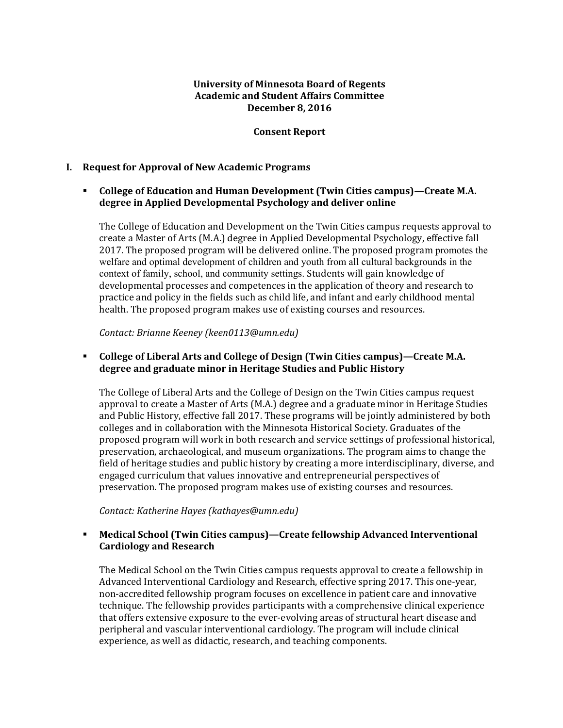## **University of Minnesota Board of Regents Academic and Student Affairs Committee December 8, 2016**

## **Consent Report**

### **I. Request for Approval of New Academic Programs**

## **College of Education and Human Development (Twin Cities campus)—Create M.A. degree in Applied Developmental Psychology and deliver online**

The College of Education and Development on the Twin Cities campus requests approval to create a Master of Arts (M.A.) degree in Applied Developmental Psychology, effective fall 2017. The proposed program will be delivered online. The proposed program promotes the welfare and optimal development of children and youth from all cultural backgrounds in the context of family, school, and community settings. Students will gain knowledge of developmental processes and competences in the application of theory and research to practice and policy in the fields such as child life, and infant and early childhood mental health. The proposed program makes use of existing courses and resources.

*Contact: Brianne Keeney (keen0113@umn.edu)*

## **College of Liberal Arts and College of Design (Twin Cities campus)—Create M.A. degree and graduate minor in Heritage Studies and Public History**

The College of Liberal Arts and the College of Design on the Twin Cities campus request approval to create a Master of Arts (M.A.) degree and a graduate minor in Heritage Studies and Public History, effective fall 2017. These programs will be jointly administered by both colleges and in collaboration with the Minnesota Historical Society. Graduates of the proposed program will work in both research and service settings of professional historical, preservation, archaeological, and museum organizations. The program aims to change the field of heritage studies and public history by creating a more interdisciplinary, diverse, and engaged curriculum that values innovative and entrepreneurial perspectives of preservation. The proposed program makes use of existing courses and resources.

*Contact: Katherine Hayes (kathayes@umn.edu)*

## **Medical School (Twin Cities campus)—Create fellowship Advanced Interventional Cardiology and Research**

The Medical School on the Twin Cities campus requests approval to create a fellowship in Advanced Interventional Cardiology and Research, effective spring 2017. This one-year, non-accredited fellowship program focuses on excellence in patient care and innovative technique. The fellowship provides participants with a comprehensive clinical experience that offers extensive exposure to the ever-evolving areas of structural heart disease and peripheral and vascular interventional cardiology. The program will include clinical experience, as well as didactic, research, and teaching components.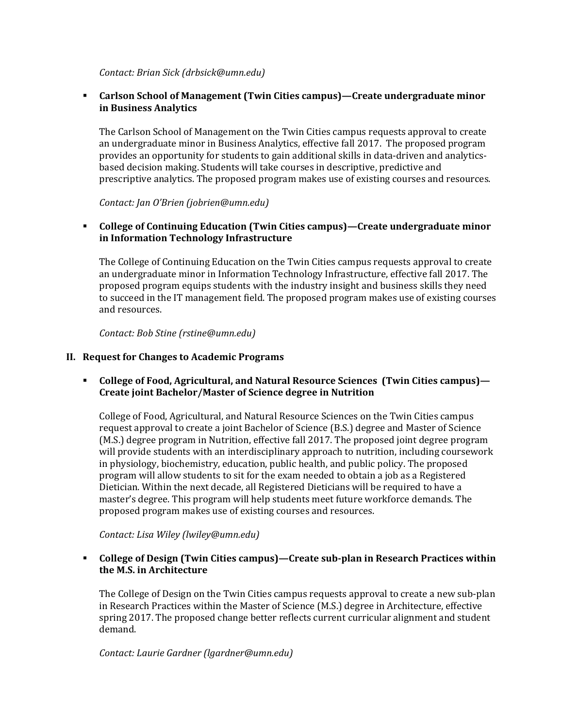*Contact: Brian Sick (drbsick@umn.edu)*

## **Carlson School of Management (Twin Cities campus)—Create undergraduate minor in Business Analytics**

The Carlson School of Management on the Twin Cities campus requests approval to create an undergraduate minor in Business Analytics, effective fall 2017. The proposed program provides an opportunity for students to gain additional skills in data-driven and analyticsbased decision making. Students will take courses in descriptive, predictive and prescriptive analytics. The proposed program makes use of existing courses and resources.

*Contact: Jan O'Brien (jobrien@umn.edu)*

## **College of Continuing Education (Twin Cities campus)—Create undergraduate minor in Information Technology Infrastructure**

The College of Continuing Education on the Twin Cities campus requests approval to create an undergraduate minor in Information Technology Infrastructure, effective fall 2017. The proposed program equips students with the industry insight and business skills they need to succeed in the IT management field. The proposed program makes use of existing courses and resources.

*Contact: Bob Stine (rstine@umn.edu)*

### **II. Request for Changes to Academic Programs**

## **College of Food, Agricultural, and Natural Resource Sciences(Twin Cities campus)— Create joint Bachelor/Master of Science degree in Nutrition**

College of Food, Agricultural, and Natural Resource Sciences on the Twin Cities campus request approval to create a joint Bachelor of Science (B.S.) degree and Master of Science (M.S.) degree program in Nutrition, effective fall 2017. The proposed joint degree program will provide students with an interdisciplinary approach to nutrition, including coursework in physiology, biochemistry, education, public health, and public policy. The proposed program will allow students to sit for the exam needed to obtain a job as a Registered Dietician. Within the next decade, all Registered Dieticians will be required to have a master's degree. This program will help students meet future workforce demands. The proposed program makes use of existing courses and resources.

*Contact: Lisa Wiley (lwiley@umn.edu)*

## **College of Design (Twin Cities campus)—Create subǦplan in Research Practices within the M.S. in Architecture**

The College of Design on the Twin Cities campus requests approval to create a new sub-plan in Research Practices within the Master of Science (M.S.) degree in Architecture, effective spring 2017. The proposed change better reflects current curricular alignment and student demand.

*Contact: Laurie Gardner (lgardner@umn.edu)*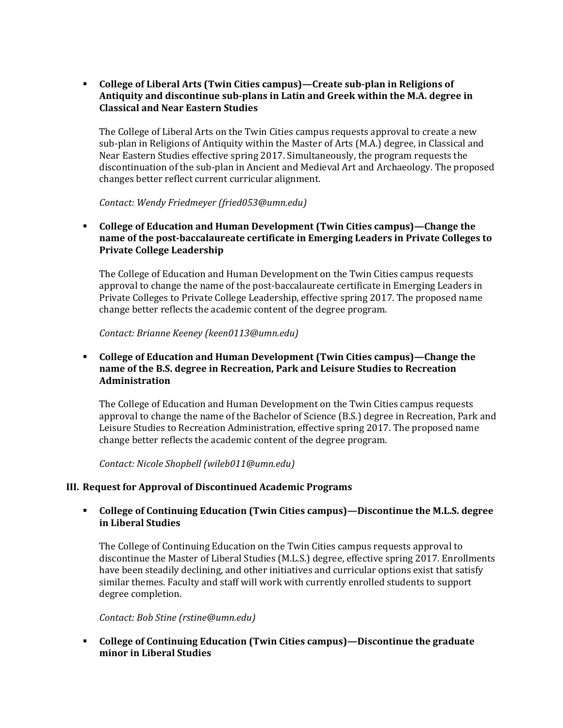**College of Liberal Arts (Twin Cities campus)—Create subǦplan in Religions of Antiquity and discontinue subǦplans in Latin and Greek within the M.A. degree in Classical and Near Eastern Studies**

The College of Liberal Arts on the Twin Cities campus requests approval to create a new sub-plan in Religions of Antiquity within the Master of Arts (M.A.) degree, in Classical and Near Eastern Studies effective spring 2017. Simultaneously, the program requests the discontinuation of the sub-plan in Ancient and Medieval Art and Archaeology. The proposed changes better reflect current curricular alignment.

*Contact: Wendy Friedmeyer (fried053@umn.edu)*

 **College of Education and Human Development (Twin Cities campus)—Change the name of the postǦbaccalaureate certificate in Emerging Leaders in Private Colleges to Private College Leadership**

The College of Education and Human Development on the Twin Cities campus requests approval to change the name of the post-baccalaureate certificate in Emerging Leaders in Private Colleges to Private College Leadership, effective spring 2017. The proposed name change better reflects the academic content of the degree program.

*Contact: Brianne Keeney (keen0113@umn.edu)*

## **College of Education and Human Development (Twin Cities campus)—Change the name of the B.S. degree in Recreation, Park and Leisure Studies to Recreation Administration**

The College of Education and Human Development on the Twin Cities campus requests approval to change the name of the Bachelor of Science (B.S.) degree in Recreation, Park and Leisure Studies to Recreation Administration, effective spring 2017. The proposed name change better reflects the academic content of the degree program.

*Contact: Nicole Shopbell (wileb011@umn.edu)*

### **III. Request for Approval of Discontinued Academic Programs**

## **College of Continuing Education (Twin Cities campus)—Discontinue the M.L.S. degree in Liberal Studies**

The College of Continuing Education on the Twin Cities campus requests approval to discontinue the Master of Liberal Studies (M.L.S.) degree, effective spring 2017. Enrollments have been steadily declining, and other initiatives and curricular options exist that satisfy similar themes. Faculty and staff will work with currently enrolled students to support degree completion.

#### *Contact: Bob Stine (rstine@umn.edu)*

## **College of Continuing Education (Twin Cities campus)—Discontinue the graduate minor in Liberal Studies**